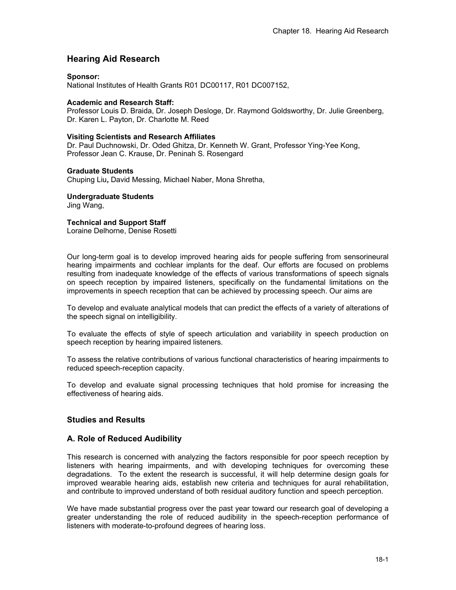# **Hearing Aid Research**

#### **Sponsor:**

National Institutes of Health Grants R01 DC00117, R01 DC007152,

### **Academic and Research Staff:**

Professor Louis D. Braida, Dr. Joseph Desloge, Dr. Raymond Goldsworthy, Dr. Julie Greenberg, Dr. Karen L. Payton, Dr. Charlotte M. Reed

### **Visiting Scientists and Research Affiliates**

Dr. Paul Duchnowski, Dr. Oded Ghitza, Dr. Kenneth W. Grant, Professor Ying-Yee Kong, Professor Jean C. Krause, Dr. Peninah S. Rosengard

#### **Graduate Students**

Chuping Liu**,** David Messing, Michael Naber, Mona Shretha,

## **Undergraduate Students**

Jing Wang,

### **Technical and Support Staff**

Loraine Delhorne, Denise Rosetti

Our long-term goal is to develop improved hearing aids for people suffering from sensorineural hearing impairments and cochlear implants for the deaf. Our efforts are focused on problems resulting from inadequate knowledge of the effects of various transformations of speech signals on speech reception by impaired listeners, specifically on the fundamental limitations on the improvements in speech reception that can be achieved by processing speech. Our aims are

To develop and evaluate analytical models that can predict the effects of a variety of alterations of the speech signal on intelligibility.

To evaluate the effects of style of speech articulation and variability in speech production on speech reception by hearing impaired listeners.

To assess the relative contributions of various functional characteristics of hearing impairments to reduced speech-reception capacity.

To develop and evaluate signal processing techniques that hold promise for increasing the effectiveness of hearing aids.

## **Studies and Results**

## **A. Role of Reduced Audibility**

This research is concerned with analyzing the factors responsible for poor speech reception by listeners with hearing impairments, and with developing techniques for overcoming these degradations. To the extent the research is successful, it will help determine design goals for improved wearable hearing aids, establish new criteria and techniques for aural rehabilitation, and contribute to improved understand of both residual auditory function and speech perception.

We have made substantial progress over the past year toward our research goal of developing a greater understanding the role of reduced audibility in the speech-reception performance of listeners with moderate-to-profound degrees of hearing loss.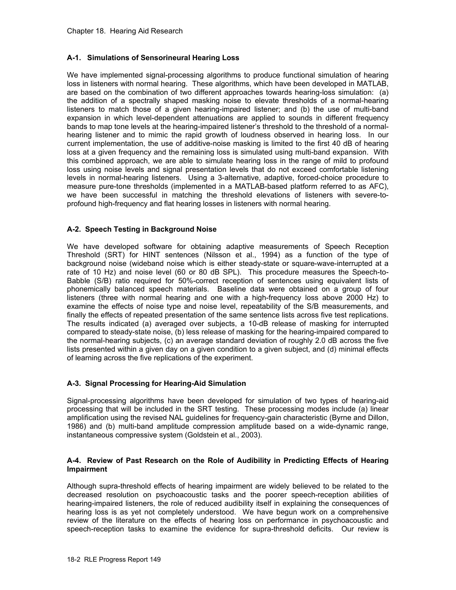### **A-1. Simulations of Sensorineural Hearing Loss**

We have implemented signal-processing algorithms to produce functional simulation of hearing loss in listeners with normal hearing. These algorithms, which have been developed in MATLAB, are based on the combination of two different approaches towards hearing-loss simulation: (a) the addition of a spectrally shaped masking noise to elevate thresholds of a normal-hearing listeners to match those of a given hearing-impaired listener; and (b) the use of multi-band expansion in which level-dependent attenuations are applied to sounds in different frequency bands to map tone levels at the hearing-impaired listener's threshold to the threshold of a normalhearing listener and to mimic the rapid growth of loudness observed in hearing loss. In our current implementation, the use of additive-noise masking is limited to the first 40 dB of hearing loss at a given frequency and the remaining loss is simulated using multi-band expansion. With this combined approach, we are able to simulate hearing loss in the range of mild to profound loss using noise levels and signal presentation levels that do not exceed comfortable listening levels in normal-hearing listeners. Using a 3-alternative, adaptive, forced-choice procedure to measure pure-tone thresholds (implemented in a MATLAB-based platform referred to as AFC), we have been successful in matching the threshold elevations of listeners with severe-toprofound high-frequency and flat hearing losses in listeners with normal hearing.

### **A-2. Speech Testing in Background Noise**

We have developed software for obtaining adaptive measurements of Speech Reception Threshold (SRT) for HINT sentences (Nilsson et al., 1994) as a function of the type of background noise (wideband noise which is either steady-state or square-wave-interrupted at a rate of 10 Hz) and noise level (60 or 80 dB SPL). This procedure measures the Speech-to-Babble (S/B) ratio required for 50%-correct reception of sentences using equivalent lists of phonemically balanced speech materials. Baseline data were obtained on a group of four listeners (three with normal hearing and one with a high-frequency loss above 2000 Hz) to examine the effects of noise type and noise level, repeatability of the S/B measurements, and finally the effects of repeated presentation of the same sentence lists across five test replications. The results indicated (a) averaged over subjects, a 10-dB release of masking for interrupted compared to steady-state noise, (b) less release of masking for the hearing-impaired compared to the normal-hearing subjects, (c) an average standard deviation of roughly 2.0 dB across the five lists presented within a given day on a given condition to a given subject, and (d) minimal effects of learning across the five replications of the experiment.

## **A-3. Signal Processing for Hearing-Aid Simulation**

Signal-processing algorithms have been developed for simulation of two types of hearing-aid processing that will be included in the SRT testing. These processing modes include (a) linear amplification using the revised NAL guidelines for frequency-gain characteristic (Byrne and Dillon, 1986) and (b) multi-band amplitude compression amplitude based on a wide-dynamic range, instantaneous compressive system (Goldstein et al., 2003).

### **A-4. Review of Past Research on the Role of Audibility in Predicting Effects of Hearing Impairment**

Although supra-threshold effects of hearing impairment are widely believed to be related to the decreased resolution on psychoacoustic tasks and the poorer speech-reception abilities of hearing-impaired listeners, the role of reduced audibility itself in explaining the consequences of hearing loss is as yet not completely understood. We have begun work on a comprehensive review of the literature on the effects of hearing loss on performance in psychoacoustic and speech-reception tasks to examine the evidence for supra-threshold deficits. Our review is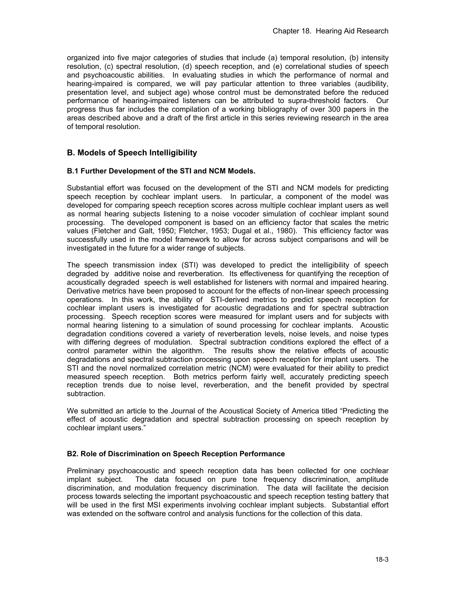organized into five major categories of studies that include (a) temporal resolution, (b) intensity resolution, (c) spectral resolution, (d) speech reception, and (e) correlational studies of speech and psychoacoustic abilities. In evaluating studies in which the performance of normal and hearing-impaired is compared, we will pay particular attention to three variables (audibility, presentation level, and subject age) whose control must be demonstrated before the reduced performance of hearing-impaired listeners can be attributed to supra-threshold factors. Our progress thus far includes the compilation of a working bibliography of over 300 papers in the areas described above and a draft of the first article in this series reviewing research in the area of temporal resolution.

## **B. Models of Speech Intelligibility**

### **B.1 Further Development of the STI and NCM Models.**

Substantial effort was focused on the development of the STI and NCM models for predicting speech reception by cochlear implant users. In particular, a component of the model was developed for comparing speech reception scores across multiple cochlear implant users as well as normal hearing subjects listening to a noise vocoder simulation of cochlear implant sound processing. The developed component is based on an efficiency factor that scales the metric values (Fletcher and Galt, 1950; Fletcher, 1953; Dugal et al., 1980). This efficiency factor was successfully used in the model framework to allow for across subject comparisons and will be investigated in the future for a wider range of subjects.

The speech transmission index (STI) was developed to predict the intelligibility of speech degraded by additive noise and reverberation. Its effectiveness for quantifying the reception of acoustically degraded speech is well established for listeners with normal and impaired hearing. Derivative metrics have been proposed to account for the effects of non-linear speech processing operations. In this work, the ability of STI-derived metrics to predict speech reception for cochlear implant users is investigated for acoustic degradations and for spectral subtraction processing. Speech reception scores were measured for implant users and for subjects with normal hearing listening to a simulation of sound processing for cochlear implants. Acoustic degradation conditions covered a variety of reverberation levels, noise levels, and noise types with differing degrees of modulation. Spectral subtraction conditions explored the effect of a control parameter within the algorithm. The results show the relative effects of acoustic degradations and spectral subtraction processing upon speech reception for implant users. The STI and the novel normalized correlation metric (NCM) were evaluated for their ability to predict measured speech reception. Both metrics perform fairly well, accurately predicting speech reception trends due to noise level, reverberation, and the benefit provided by spectral subtraction.

We submitted an article to the Journal of the Acoustical Society of America titled "Predicting the effect of acoustic degradation and spectral subtraction processing on speech reception by cochlear implant users."

### **B2. Role of Discrimination on Speech Reception Performance**

Preliminary psychoacoustic and speech reception data has been collected for one cochlear implant subject. The data focused on pure tone frequency discrimination, amplitude discrimination, and modulation frequency discrimination. The data will facilitate the decision process towards selecting the important psychoacoustic and speech reception testing battery that will be used in the first MSI experiments involving cochlear implant subjects. Substantial effort was extended on the software control and analysis functions for the collection of this data.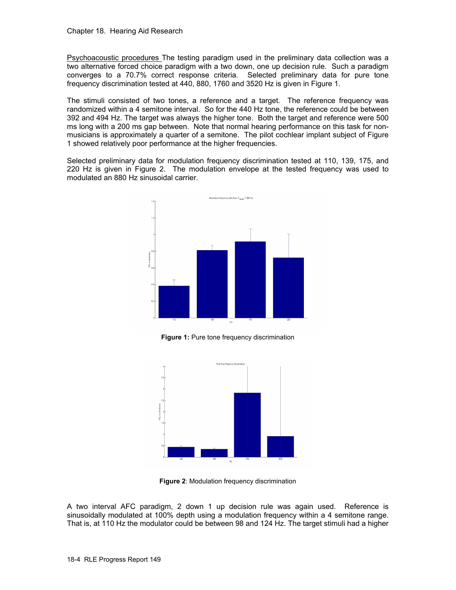Psychoacoustic procedures The testing paradigm used in the preliminary data collection was a two alternative forced choice paradigm with a two down, one up decision rule. Such a paradigm converges to a 70.7% correct response criteria. Selected preliminary data for pure tone frequency discrimination tested at 440, 880, 1760 and 3520 Hz is given in Figure 1.

The stimuli consisted of two tones, a reference and a target. The reference frequency was randomized within a 4 semitone interval. So for the 440 Hz tone, the reference could be between 392 and 494 Hz. The target was always the higher tone. Both the target and reference were 500 ms long with a 200 ms gap between. Note that normal hearing performance on this task for nonmusicians is approximately a quarter of a semitone. The pilot cochlear implant subject of Figure 1 showed relatively poor performance at the higher frequencies.

Selected preliminary data for modulation frequency discrimination tested at 110, 139, 175, and 220 Hz is given in Figure 2. The modulation envelope at the tested frequency was used to modulated an 880 Hz sinusoidal carrier.



**Figure 1:** Pure tone frequency discrimination



**Figure 2**: Modulation frequency discrimination

A two interval AFC paradigm, 2 down 1 up decision rule was again used. Reference is sinusoidally modulated at 100% depth using a modulation frequency within a 4 semitone range. That is, at 110 Hz the modulator could be between 98 and 124 Hz. The target stimuli had a higher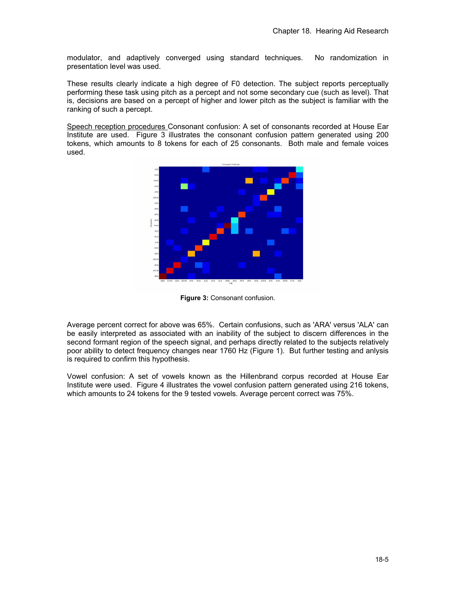modulator, and adaptively converged using standard techniques. No randomization in presentation level was used.

These results clearly indicate a high degree of F0 detection. The subject reports perceptually performing these task using pitch as a percept and not some secondary cue (such as level). That is, decisions are based on a percept of higher and lower pitch as the subject is familiar with the ranking of such a percept.

Speech reception procedures Consonant confusion: A set of consonants recorded at House Ear Institute are used. Figure 3 illustrates the consonant confusion pattern generated using 200 tokens, which amounts to 8 tokens for each of 25 consonants. Both male and female voices used.



**Figure 3:** Consonant confusion.

Average percent correct for above was 65%. Certain confusions, such as 'ARA' versus 'ALA' can be easily interpreted as associated with an inability of the subject to discern differences in the second formant region of the speech signal, and perhaps directly related to the subjects relatively poor ability to detect frequency changes near 1760 Hz (Figure 1). But further testing and anlysis is required to confirm this hypothesis.

Vowel confusion: A set of vowels known as the Hillenbrand corpus recorded at House Ear Institute were used. Figure 4 illustrates the vowel confusion pattern generated using 216 tokens, which amounts to 24 tokens for the 9 tested vowels. Average percent correct was 75%.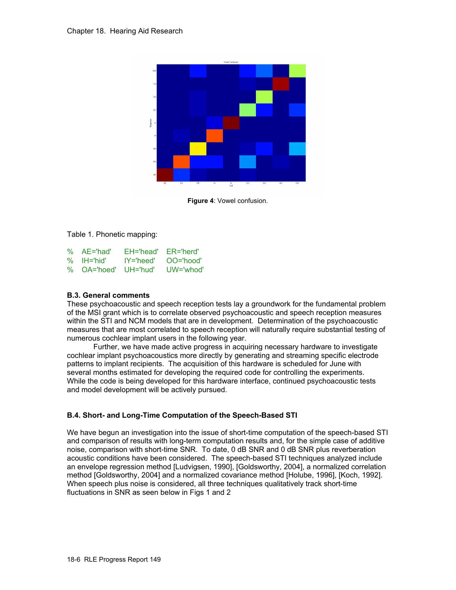

**Figure 4**: Vowel confusion.

Table 1. Phonetic mapping:

| % AE='had'  | $E$ H='head'  | $ER="herd'$   |
|-------------|---------------|---------------|
| % IH='hid'  | $IY = 'head'$ | $OO="hood'$   |
| % OA='hoed' | $UH = 'hud'$  | $UW = 'whod'$ |

### **B.3. General comments**

These psychoacoustic and speech reception tests lay a groundwork for the fundamental problem of the MSI grant which is to correlate observed psychoacoustic and speech reception measures within the STI and NCM models that are in development. Determination of the psychoacoustic measures that are most correlated to speech reception will naturally require substantial testing of numerous cochlear implant users in the following year.

Further, we have made active progress in acquiring necessary hardware to investigate cochlear implant psychoacoustics more directly by generating and streaming specific electrode patterns to implant recipients. The acquisition of this hardware is scheduled for June with several months estimated for developing the required code for controlling the experiments. While the code is being developed for this hardware interface, continued psychoacoustic tests and model development will be actively pursued.

## **B.4. Short- and Long-Time Computation of the Speech-Based STI**

We have begun an investigation into the issue of short-time computation of the speech-based STI and comparison of results with long-term computation results and, for the simple case of additive noise, comparison with short-time SNR. To date, 0 dB SNR and 0 dB SNR plus reverberation acoustic conditions have been considered. The speech-based STI techniques analyzed include an envelope regression method [Ludvigsen, 1990], [Goldsworthy, 2004], a normalized correlation method [Goldsworthy, 2004] and a normalized covariance method [Holube, 1996], [Koch, 1992]. When speech plus noise is considered, all three techniques qualitatively track short-time fluctuations in SNR as seen below in Figs 1 and 2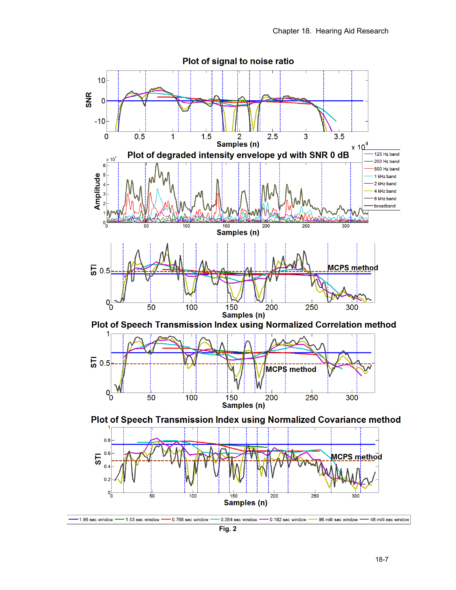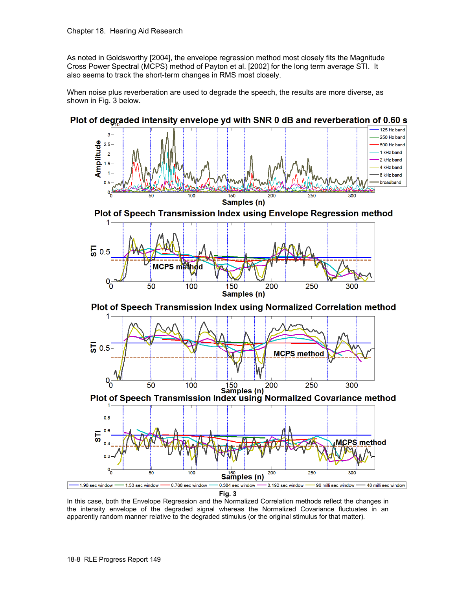As noted in Goldsworthy [2004], the envelope regression method most closely fits the Magnitude Cross Power Spectral (MCPS) method of Payton et al. [2002] for the long term average STI. It also seems to track the short-term changes in RMS most closely.

When noise plus reverberation are used to degrade the speech, the results are more diverse, as shown in Fig. 3 below.



## Plot of degraded intensity envelope yd with SNR 0 dB and reverberation of 0.60 s

In this case, both the Envelope Regression and the Normalized Correlation methods reflect the changes in the intensity envelope of the degraded signal whereas the Normalized Covariance fluctuates in an apparently random manner relative to the degraded stimulus (or the original stimulus for that matter).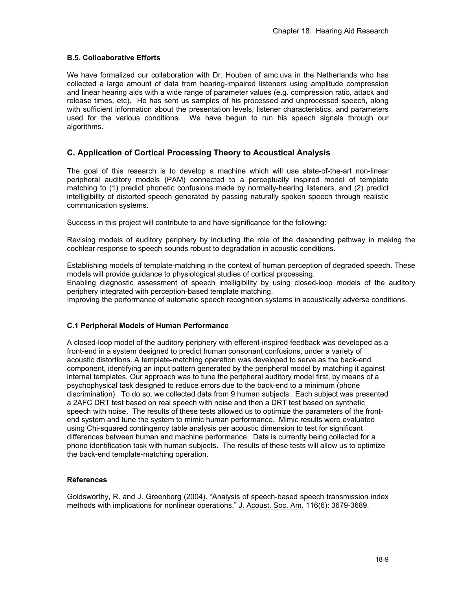### **B.5. Colloaborative Efforts**

We have formalized our collaboration with Dr. Houben of amc.uva in the Netherlands who has collected a large amount of data from hearing-impaired listeners using amplitude compression and linear hearing aids with a wide range of parameter values (e.g. compression ratio, attack and release times, etc). He has sent us samples of his processed and unprocessed speech, along with sufficient information about the presentation levels, listener characteristics, and parameters used for the various conditions. We have begun to run his speech signals through our algorithms.

## **C. Application of Cortical Processing Theory to Acoustical Analysis**

The goal of this research is to develop a machine which will use state-of-the-art non-linear peripheral auditory models (PAM) connected to a perceptually inspired model of template matching to (1) predict phonetic confusions made by normally-hearing listeners, and (2) predict intelligibility of distorted speech generated by passing naturally spoken speech through realistic communication systems.

Success in this project will contribute to and have significance for the following:

Revising models of auditory periphery by including the role of the descending pathway in making the cochlear response to speech sounds robust to degradation in acoustic conditions.

Establishing models of template-matching in the context of human perception of degraded speech. These models will provide guidance to physiological studies of cortical processing. Enabling diagnostic assessment of speech intelligibility by using closed-loop models of the auditory periphery integrated with perception-based template matching.

Improving the performance of automatic speech recognition systems in acoustically adverse conditions.

### **C.1 Peripheral Models of Human Performance**

A closed-loop model of the auditory periphery with efferent-inspired feedback was developed as a front-end in a system designed to predict human consonant confusions, under a variety of acoustic distortions. A template-matching operation was developed to serve as the back-end component, identifying an input pattern generated by the peripheral model by matching it against internal templates. Our approach was to tune the peripheral auditory model first, by means of a psychophysical task designed to reduce errors due to the back-end to a minimum (phone discrimination). To do so, we collected data from 9 human subjects. Each subject was presented a 2AFC DRT test based on real speech with noise and then a DRT test based on synthetic speech with noise. The results of these tests allowed us to optimize the parameters of the frontend system and tune the system to mimic human performance. Mimic results were evaluated using Chi-squared contingency table analysis per acoustic dimension to test for significant differences between human and machine performance. Data is currently being collected for a phone identification task with human subjects. The results of these tests will allow us to optimize the back-end template-matching operation.

### **References**

Goldsworthy, R. and J. Greenberg (2004). "Analysis of speech-based speech transmission index methods with implications for nonlinear operations." J. Acoust. Soc. Am. 116(6): 3679-3689.